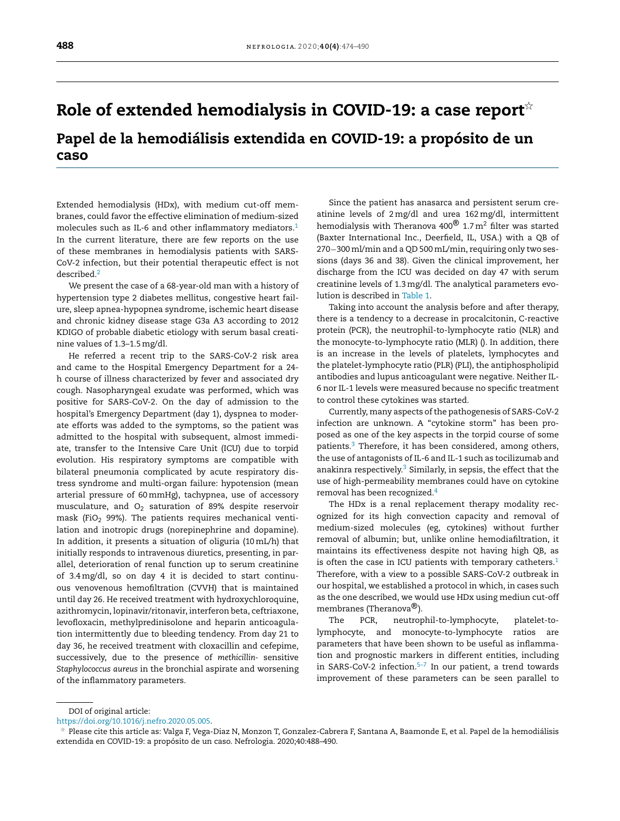## R[ole](http://refhub.elsevier.com/S2013-2514(20)30101-2/sbref0075) [of](http://refhub.elsevier.com/S2013-2514(20)30101-2/sbref0075) [extended](http://refhub.elsevier.com/S2013-2514(20)30101-2/sbref0075) [hemodialysis](http://refhub.elsevier.com/S2013-2514(20)30101-2/sbref0080) in [C](http://refhub.elsevier.com/S2013-2514(20)30101-2/sbref0015)[OVI](http://refhub.elsevier.com/S2013-2514(20)30101-2/sbref0115)[D](http://refhub.elsevier.com/S2013-2514(20)30101-2/sbref0015)[-](http://refhub.elsevier.com/S2013-2514(20)30101-2/sbref0035)[1](http://refhub.elsevier.com/S2013-2514(20)30101-2/sbref0015)[9](http://refhub.elsevier.com/S2013-2514(20)30101-2/sbref0035)[:](http://refhub.elsevier.com/S2013-2514(20)30101-2/sbref0065) [a](http://refhub.elsevier.com/S2013-2514(20)30101-2/sbref0035) [ca](http://refhub.elsevier.com/S2013-2514(20)30101-2/sbref0065)[se](http://refhub.elsevier.com/S2013-2514(20)30101-2/sbref0035) [repo](http://refhub.elsevier.com/S2013-2514(20)30101-2/sbref0015)[rt](http://refhub.elsevier.com/S2013-2514(20)30101-2/sbref0065) $^{\scriptscriptstyle\div}$

Pa[pel](http://refhub.elsevier.com/S2013-2514(20)30101-2/sbref0085) d[e](http://refhub.elsevier.com/S2013-2514(20)30101-2/sbref0085) [la](http://refhub.elsevier.com/S2013-2514(20)30101-2/sbref0085) [hemodiálisis](http://refhub.elsevier.com/S2013-2514(20)30101-2/sbref0085) [ex](http://refhub.elsevier.com/S2013-2514(20)30101-2/sbref0085)[tendida](http://www.revistanefrologia.com) en [COV](http://refhub.elsevier.com/S2013-2514(20)30101-2/sbref0020)[I](http://refhub.elsevier.com/S2013-2514(20)30101-2/sbref0120)[D-1](http://refhub.elsevier.com/S2013-2514(20)30101-2/sbref0040)[9:](http://refhub.elsevier.com/S2013-2514(20)30101-2/sbref0070) [a](http://refhub.elsevier.com/S2013-2514(20)30101-2/sbref0015) [pr](http://refhub.elsevier.com/S2013-2514(20)30101-2/sbref0015)[opós](http://refhub.elsevier.com/S2013-2514(20)30101-2/sbref0040)[ito](http://refhub.elsevier.com/S2013-2514(20)30101-2/sbref0070) [de](http://refhub.elsevier.com/S2013-2514(20)30101-2/sbref0040) [u](http://refhub.elsevier.com/S2013-2514(20)30101-2/sbref0040)[n](http://refhub.elsevier.com/S2013-2514(20)30101-2/sbref0070) ca[so](http://refhub.elsevier.com/S2013-2514(20)30101-2/sbref0085)

Ext[ended](http://refhub.elsevier.com/S2013-2514(20)30101-2/sbref0005) [hemo](http://refhub.elsevier.com/S2013-2514(20)30101-2/sbref0090)[d](http://refhub.elsevier.com/S2013-2514(20)30101-2/sbref0005)[i](http://refhub.elsevier.com/S2013-2514(20)30101-2/sbref0090)[alysis](http://refhub.elsevier.com/S2013-2514(20)30101-2/sbref0005) [\(HDx\),](http://refhub.elsevier.com/S2013-2514(20)30101-2/sbref0005) [with](http://refhub.elsevier.com/S2013-2514(20)30101-2/sbref0005) [med](http://refhub.elsevier.com/S2013-2514(20)30101-2/sbref0005)[ium](http://refhub.elsevier.com/S2013-2514(20)30101-2/sbref0090) [cut](http://refhub.elsevier.com/S2013-2514(20)30101-2/sbref0005)[-o](http://refhub.elsevier.com/S2013-2514(20)30101-2/sbref0090)[ff](http://refhub.elsevier.com/S2013-2514(20)30101-2/sbref0005) [mem](http://refhub.elsevier.com/S2013-2514(20)30101-2/sbref0005)bra[nes](http://refhub.elsevier.com/S2013-2514(20)30101-2/sbref0095), [co](http://refhub.elsevier.com/S2013-2514(20)30101-2/sbref0095)[u](http://refhub.elsevier.com/S2013-2514(20)30101-2/sbref0005)[l](http://refhub.elsevier.com/S2013-2514(20)30101-2/sbref0095)[d](http://refhub.elsevier.com/S2013-2514(20)30101-2/sbref0005) [favor](http://refhub.elsevier.com/S2013-2514(20)30101-2/sbref0095) the [ef](http://refhub.elsevier.com/S2013-2514(20)30101-2/sbref0005)[fective](http://refhub.elsevier.com/S2013-2514(20)30101-2/sbref0095) [el](http://refhub.elsevier.com/S2013-2514(20)30101-2/sbref0095)[i](http://refhub.elsevier.com/S2013-2514(20)30101-2/sbref0005)[mination](http://refhub.elsevier.com/S2013-2514(20)30101-2/sbref0095) [o](http://refhub.elsevier.com/S2013-2514(20)30101-2/sbref0005)[f](http://refhub.elsevier.com/S2013-2514(20)30101-2/sbref0095) [medium-sized](http://refhub.elsevier.com/S2013-2514(20)30101-2/sbref0095) m[ole](http://refhub.elsevier.com/S2013-2514(20)30101-2/sbref0005)[cules](http://refhub.elsevier.com/S2013-2514(20)30101-2/sbref0095) [suc](http://refhub.elsevier.com/S2013-2514(20)30101-2/sbref0005)[h](http://refhub.elsevier.com/S2013-2514(20)30101-2/sbref0095) [as](http://refhub.elsevier.com/S2013-2514(20)30101-2/sbref0095) IL[-6](http://refhub.elsevier.com/S2013-2514(20)30101-2/sbref0095) [an](http://refhub.elsevier.com/S2013-2514(20)30101-2/sbref0095)d [othe](http://refhub.elsevier.com/S2013-2514(20)30101-2/sbref0095)[r](http://refhub.elsevier.com/S2013-2514(20)30101-2/sbref0005) [inflammatory](http://refhub.elsevier.com/S2013-2514(20)30101-2/sbref0095) [mediators.](http://refhub.elsevier.com/S2013-2514(20)30101-2/sbref0095)<sup>[1](#page-2-0)</sup> In [th](http://refhub.elsevier.com/S2013-2514(20)30101-2/sbref0010)[e](http://refhub.elsevier.com/S2013-2514(20)30101-2/sbref0095) [c](http://refhub.elsevier.com/S2013-2514(20)30101-2/sbref0010)[ur](http://refhub.elsevier.com/S2013-2514(20)30101-2/sbref0095)[r](http://refhub.elsevier.com/S2013-2514(20)30101-2/sbref0010)[ent](http://refhub.elsevier.com/S2013-2514(20)30101-2/sbref0095) [lit](http://refhub.elsevier.com/S2013-2514(20)30101-2/sbref0095)[er](http://refhub.elsevier.com/S2013-2514(20)30101-2/sbref0010)[a](http://refhub.elsevier.com/S2013-2514(20)30101-2/sbref0095)[tu](http://refhub.elsevier.com/S2013-2514(20)30101-2/sbref0010)[re,](http://refhub.elsevier.com/S2013-2514(20)30101-2/sbref0095) [th](http://refhub.elsevier.com/S2013-2514(20)30101-2/sbref0010)[ere](http://refhub.elsevier.com/S2013-2514(20)30101-2/sbref0095) [a](http://refhub.elsevier.com/S2013-2514(20)30101-2/sbref0010)[r](http://refhub.elsevier.com/S2013-2514(20)30101-2/sbref0095)[e](http://refhub.elsevier.com/S2013-2514(20)30101-2/sbref0010) [few](http://refhub.elsevier.com/S2013-2514(20)30101-2/sbref0010) [repo](http://refhub.elsevier.com/S2013-2514(20)30101-2/sbref0095)[rts](http://refhub.elsevier.com/S2013-2514(20)30101-2/sbref0010) [on](http://refhub.elsevier.com/S2013-2514(20)30101-2/sbref0010) [the](http://refhub.elsevier.com/S2013-2514(20)30101-2/sbref0010) [use](http://refhub.elsevier.com/S2013-2514(20)30101-2/sbref0010) of [these](http://refhub.elsevier.com/S2013-2514(20)30101-2/sbref0010) [m](http://refhub.elsevier.com/S2013-2514(20)30101-2/sbref0100)[e](http://refhub.elsevier.com/S2013-2514(20)30101-2/sbref0010)[mb](http://refhub.elsevier.com/S2013-2514(20)30101-2/sbref0100)[ran](http://refhub.elsevier.com/S2013-2514(20)30101-2/sbref0010)[es](http://refhub.elsevier.com/S2013-2514(20)30101-2/sbref0100) [in](http://refhub.elsevier.com/S2013-2514(20)30101-2/sbref0010) [hemod](http://refhub.elsevier.com/S2013-2514(20)30101-2/sbref0010)[i](http://refhub.elsevier.com/S2013-2514(20)30101-2/sbref0100)[alysis](http://refhub.elsevier.com/S2013-2514(20)30101-2/sbref0010) [pat](http://refhub.elsevier.com/S2013-2514(20)30101-2/sbref0100)[ients](http://refhub.elsevier.com/S2013-2514(20)30101-2/sbref0010) [with](http://refhub.elsevier.com/S2013-2514(20)30101-2/sbref0010) S[AR](http://refhub.elsevier.com/S2013-2514(20)30101-2/sbref0010)S-C[oV-2](http://refhub.elsevier.com/S2013-2514(20)30101-2/sbref0010) [infection,](http://refhub.elsevier.com/S2013-2514(20)30101-2/sbref0100) [but](http://refhub.elsevier.com/S2013-2514(20)30101-2/sbref0010) [their](http://refhub.elsevier.com/S2013-2514(20)30101-2/sbref0010) [potential](http://refhub.elsevier.com/S2013-2514(20)30101-2/sbref0010) [thera](http://refhub.elsevier.com/S2013-2514(20)30101-2/sbref0100)[peutic](http://refhub.elsevier.com/S2013-2514(20)30101-2/sbref0010) [e](http://refhub.elsevier.com/S2013-2514(20)30101-2/sbref0010)[ff](http://refhub.elsevier.com/S2013-2514(20)30101-2/sbref0100)[ec](http://refhub.elsevier.com/S2013-2514(20)30101-2/sbref0010)[t](http://refhub.elsevier.com/S2013-2514(20)30101-2/sbref0100) [is](http://refhub.elsevier.com/S2013-2514(20)30101-2/sbref0010) [no](http://refhub.elsevier.com/S2013-2514(20)30101-2/sbref0100)[t](http://refhub.elsevier.com/S2013-2514(20)30101-2/sbref0015) de[scribed.](http://refhub.elsevier.com/S2013-2514(20)30101-2/sbref0010)<sup>[2](http://refhub.elsevier.com/S2013-2514(20)30101-2/sbref0100)</sup>

[We](http://refhub.elsevier.com/S2013-2514(20)30101-2/sbref0015) [prese](http://refhub.elsevier.com/S2013-2514(20)30101-2/sbref0015)[nt](http://refhub.elsevier.com/S2013-2514(20)30101-2/sbref0105) [the](http://refhub.elsevier.com/S2013-2514(20)30101-2/sbref0015) [case](http://refhub.elsevier.com/S2013-2514(20)30101-2/sbref0015) [of](http://refhub.elsevier.com/S2013-2514(20)30101-2/sbref0015) [a](http://refhub.elsevier.com/S2013-2514(20)30101-2/sbref0105) [6](http://refhub.elsevier.com/S2013-2514(20)30101-2/sbref0015)[8-ye](http://refhub.elsevier.com/S2013-2514(20)30101-2/sbref0105)[ar-old](http://refhub.elsevier.com/S2013-2514(20)30101-2/sbref0015) [man](http://refhub.elsevier.com/S2013-2514(20)30101-2/sbref0015) [with](http://refhub.elsevier.com/S2013-2514(20)30101-2/sbref0015) [a](http://refhub.elsevier.com/S2013-2514(20)30101-2/sbref0015) [hi](http://refhub.elsevier.com/S2013-2514(20)30101-2/sbref0015)[stor](http://refhub.elsevier.com/S2013-2514(20)30101-2/sbref0105)[y](http://refhub.elsevier.com/S2013-2514(20)30101-2/sbref0015) of h[yp](http://refhub.elsevier.com/S2013-2514(20)30101-2/sbref0015)[er](http://refhub.elsevier.com/S2013-2514(20)30101-2/sbref0020)[t](http://refhub.elsevier.com/S2013-2514(20)30101-2/sbref0015)[en](http://refhub.elsevier.com/S2013-2514(20)30101-2/sbref0020)[sion](http://refhub.elsevier.com/S2013-2514(20)30101-2/sbref0105) [t](http://refhub.elsevier.com/S2013-2514(20)30101-2/sbref0020)[yp](http://refhub.elsevier.com/S2013-2514(20)30101-2/sbref0105)[e](http://refhub.elsevier.com/S2013-2514(20)30101-2/sbref0020) [2](http://refhub.elsevier.com/S2013-2514(20)30101-2/sbref0005) [di](http://refhub.elsevier.com/S2013-2514(20)30101-2/sbref0105)[a](http://refhub.elsevier.com/S2013-2514(20)30101-2/sbref0020)[b](http://refhub.elsevier.com/S2013-2514(20)30101-2/sbref0105)[e](http://refhub.elsevier.com/S2013-2514(20)30101-2/sbref0020)[t](http://refhub.elsevier.com/S2013-2514(20)30101-2/sbref0105)[e](http://refhub.elsevier.com/S2013-2514(20)30101-2/sbref0015)[s](http://refhub.elsevier.com/S2013-2514(20)30101-2/sbref0005) [mellitu](http://refhub.elsevier.com/S2013-2514(20)30101-2/sbref0020)[s,](http://refhub.elsevier.com/S2013-2514(20)30101-2/sbref0105) [co](http://refhub.elsevier.com/S2013-2514(20)30101-2/sbref0005)[ngestiv](http://refhub.elsevier.com/S2013-2514(20)30101-2/sbref0105)[e](http://refhub.elsevier.com/S2013-2514(20)30101-2/sbref0020) [h](http://refhub.elsevier.com/S2013-2514(20)30101-2/sbref0105)[eart](http://refhub.elsevier.com/S2013-2514(20)30101-2/sbref0020) [fai](http://refhub.elsevier.com/S2013-2514(20)30101-2/sbref0105)[l](http://refhub.elsevier.com/S2013-2514(20)30101-2/sbref0015)ure, [sleep](http://refhub.elsevier.com/S2013-2514(20)30101-2/sbref0020) [apnea](http://refhub.elsevier.com/S2013-2514(20)30101-2/sbref0105)[-](http://refhub.elsevier.com/S2013-2514(20)30101-2/sbref0020)[hy](http://refhub.elsevier.com/S2013-2514(20)30101-2/sbref0105)[p](http://refhub.elsevier.com/S2013-2514(20)30101-2/sbref0020)[op](http://refhub.elsevier.com/S2013-2514(20)30101-2/sbref0105)[n](http://refhub.elsevier.com/S2013-2514(20)30101-2/sbref0020)[ea](http://refhub.elsevier.com/S2013-2514(20)30101-2/sbref0105) [syn](http://refhub.elsevier.com/S2013-2514(20)30101-2/sbref0020)[d](http://refhub.elsevier.com/S2013-2514(20)30101-2/sbref0105)[r](http://refhub.elsevier.com/S2013-2514(20)30101-2/sbref0020)[o](http://refhub.elsevier.com/S2013-2514(20)30101-2/sbref0105)[me,](http://refhub.elsevier.com/S2013-2514(20)30101-2/sbref0020) [is](http://refhub.elsevier.com/S2013-2514(20)30101-2/sbref0020)[ch](http://refhub.elsevier.com/S2013-2514(20)30101-2/sbref0105)[emic](http://refhub.elsevier.com/S2013-2514(20)30101-2/sbref0020) [hea](http://refhub.elsevier.com/S2013-2514(20)30101-2/sbref0105)[rt](http://refhub.elsevier.com/S2013-2514(20)30101-2/sbref0020) [di](http://refhub.elsevier.com/S2013-2514(20)30101-2/sbref0105)[s](http://refhub.elsevier.com/S2013-2514(20)30101-2/sbref0020)[ease](http://refhub.elsevier.com/S2013-2514(20)30101-2/sbref0105) a[nd](http://refhub.elsevier.com/S2013-2514(20)30101-2/sbref0020) [chronic](http://refhub.elsevier.com/S2013-2514(20)30101-2/sbref0020) [kidney](http://refhub.elsevier.com/S2013-2514(20)30101-2/sbref0105) [dis](http://refhub.elsevier.com/S2013-2514(20)30101-2/sbref0105)[ease](http://refhub.elsevier.com/S2013-2514(20)30101-2/sbref0020) [stage](http://refhub.elsevier.com/S2013-2514(20)30101-2/sbref0105) [G3a](http://refhub.elsevier.com/S2013-2514(20)30101-2/sbref0020) A[3](http://refhub.elsevier.com/S2013-2514(20)30101-2/sbref0020) [according](http://refhub.elsevier.com/S2013-2514(20)30101-2/sbref0020) [to](http://refhub.elsevier.com/S2013-2514(20)30101-2/sbref0020) 20[12](http://refhub.elsevier.com/S2013-2514(20)30101-2/sbref0020) K[DIGO](http://refhub.elsevier.com/S2013-2514(20)30101-2/sbref0020) of [proba](http://refhub.elsevier.com/S2013-2514(20)30101-2/sbref0020)[ble](dx.doi.org/10.1128/microbiolspec.TNMI7-0015-2016) [diab](http://refhub.elsevier.com/S2013-2514(20)30101-2/sbref0110)[eti](http://refhub.elsevier.com/S2013-2514(20)30101-2/sbref0020)c [eti](http://refhub.elsevier.com/S2013-2514(20)30101-2/sbref0110)[olog](http://refhub.elsevier.com/S2013-2514(20)30101-2/sbref0020)[y](http://refhub.elsevier.com/S2013-2514(20)30101-2/sbref0110) [with](http://refhub.elsevier.com/S2013-2514(20)30101-2/sbref0020) [serum](http://refhub.elsevier.com/S2013-2514(20)30101-2/sbref0110) [ba](http://refhub.elsevier.com/S2013-2514(20)30101-2/sbref0020)[sal](http://refhub.elsevier.com/S2013-2514(20)30101-2/sbref0110) [cre](http://refhub.elsevier.com/S2013-2514(20)30101-2/sbref0110)atini[ne](http://refhub.elsevier.com/S2013-2514(20)30101-2/sbref0020) [value](http://refhub.elsevier.com/S2013-2514(20)30101-2/sbref0015)[s](http://refhub.elsevier.com/S2013-2514(20)30101-2/sbref0110) [of](http://refhub.elsevier.com/S2013-2514(20)30101-2/sbref0020) [1.](http://refhub.elsevier.com/S2013-2514(20)30101-2/sbref0015)[3](http://refhub.elsevier.com/S2013-2514(20)30101-2/sbref0110)[–](http://refhub.elsevier.com/S2013-2514(20)30101-2/sbref0020)[1](http://refhub.elsevier.com/S2013-2514(20)30101-2/sbref0015)[.5](http://refhub.elsevier.com/S2013-2514(20)30101-2/sbref0020)[mg/dl.](http://refhub.elsevier.com/S2013-2514(20)30101-2/sbref0015)

[He](http://refhub.elsevier.com/S2013-2514(20)30101-2/sbref0020) [r](http://refhub.elsevier.com/S2013-2514(20)30101-2/sbref0110)[eferred](http://refhub.elsevier.com/S2013-2514(20)30101-2/sbref0020) [a](http://refhub.elsevier.com/S2013-2514(20)30101-2/sbref0015) [r](http://refhub.elsevier.com/S2013-2514(20)30101-2/sbref0110)[e](http://refhub.elsevier.com/S2013-2514(20)30101-2/sbref0015)[ce](http://refhub.elsevier.com/S2013-2514(20)30101-2/sbref0020)[n](http://refhub.elsevier.com/S2013-2514(20)30101-2/sbref0110)[t](http://refhub.elsevier.com/S2013-2514(20)30101-2/sbref0015) [trip](http://refhub.elsevier.com/S2013-2514(20)30101-2/sbref0015) [to](http://refhub.elsevier.com/S2013-2514(20)30101-2/sbref0025) [th](http://refhub.elsevier.com/S2013-2514(20)30101-2/sbref0015)[e](http://refhub.elsevier.com/S2013-2514(20)30101-2/sbref0025) [S](http://refhub.elsevier.com/S2013-2514(20)30101-2/sbref0015)[A](http://refhub.elsevier.com/S2013-2514(20)30101-2/sbref0025)[RS-Co](http://refhub.elsevier.com/S2013-2514(20)30101-2/sbref0015)[V](http://refhub.elsevier.com/S2013-2514(20)30101-2/sbref0025)[-2](http://refhub.elsevier.com/S2013-2514(20)30101-2/sbref0015) [risk](http://refhub.elsevier.com/S2013-2514(20)30101-2/sbref0025) [ar](http://refhub.elsevier.com/S2013-2514(20)30101-2/sbref0025)ea a[nd](http://refhub.elsevier.com/S2013-2514(20)30101-2/sbref0025) [came](http://refhub.elsevier.com/S2013-2514(20)30101-2/sbref0015) to [the](http://refhub.elsevier.com/S2013-2514(20)30101-2/sbref0025) [Hosp](http://refhub.elsevier.com/S2013-2514(20)30101-2/sbref0025)ital [Emergency](http://refhub.elsevier.com/S2013-2514(20)30101-2/sbref0025) [Department](http://refhub.elsevier.com/S2013-2514(20)30101-2/sbref0025) [for](http://refhub.elsevier.com/S2013-2514(20)30101-2/sbref0025) a 24 h [c](http://refhub.elsevier.com/S2013-2514(20)30101-2/sbref0025)[ourse](http://refhub.elsevier.com/S2013-2514(20)30101-2/sbref0030) [of](http://refhub.elsevier.com/S2013-2514(20)30101-2/sbref0020) [i](http://refhub.elsevier.com/S2013-2514(20)30101-2/sbref0030)[ll](http://refhub.elsevier.com/S2013-2514(20)30101-2/sbref0025)[ness](http://refhub.elsevier.com/S2013-2514(20)30101-2/sbref0030) [c](http://refhub.elsevier.com/S2013-2514(20)30101-2/sbref0020)[h](http://refhub.elsevier.com/S2013-2514(20)30101-2/sbref0030)[a](http://refhub.elsevier.com/S2013-2514(20)30101-2/sbref0020)[racterize](http://refhub.elsevier.com/S2013-2514(20)30101-2/sbref0030)[d](http://refhub.elsevier.com/S2013-2514(20)30101-2/sbref0020) [b](http://refhub.elsevier.com/S2013-2514(20)30101-2/sbref0025)[y](http://refhub.elsevier.com/S2013-2514(20)30101-2/sbref0020) [feve](http://refhub.elsevier.com/S2013-2514(20)30101-2/sbref0030)[r](http://refhub.elsevier.com/S2013-2514(20)30101-2/sbref0020) [and](http://refhub.elsevier.com/S2013-2514(20)30101-2/sbref0030) [assoc](http://refhub.elsevier.com/S2013-2514(20)30101-2/sbref0030)[i](http://refhub.elsevier.com/S2013-2514(20)30101-2/sbref0020)[ated](http://refhub.elsevier.com/S2013-2514(20)30101-2/sbref0025) [dr](http://refhub.elsevier.com/S2013-2514(20)30101-2/sbref0020)y co[u](http://refhub.elsevier.com/S2013-2514(20)30101-2/sbref0025)[g](http://refhub.elsevier.com/S2013-2514(20)30101-2/sbref0030)[h.](http://refhub.elsevier.com/S2013-2514(20)30101-2/sbref0020) [Nasoph](http://refhub.elsevier.com/S2013-2514(20)30101-2/sbref0030)[a](http://refhub.elsevier.com/S2013-2514(20)30101-2/sbref0020)[r](http://refhub.elsevier.com/S2013-2514(20)30101-2/sbref0030)[y](http://refhub.elsevier.com/S2013-2514(20)30101-2/sbref0025)[n](http://refhub.elsevier.com/S2013-2514(20)30101-2/sbref0030)[g](http://refhub.elsevier.com/S2013-2514(20)30101-2/sbref0020)[ea](http://refhub.elsevier.com/S2013-2514(20)30101-2/sbref0030)l [exuda](http://refhub.elsevier.com/S2013-2514(20)30101-2/sbref0030)[t](http://refhub.elsevier.com/S2013-2514(20)30101-2/sbref0025)[e](http://refhub.elsevier.com/S2013-2514(20)30101-2/sbref0030) [was](http://refhub.elsevier.com/S2013-2514(20)30101-2/sbref0030) [p](http://refhub.elsevier.com/S2013-2514(20)30101-2/sbref0025)[e](http://refhub.elsevier.com/S2013-2514(20)30101-2/sbref0030)[r](http://refhub.elsevier.com/S2013-2514(20)30101-2/sbref0020)[formed,](http://refhub.elsevier.com/S2013-2514(20)30101-2/sbref0030) which [wa](http://refhub.elsevier.com/S2013-2514(20)30101-2/sbref0030)s po[sitive](http://refhub.elsevier.com/S2013-2514(20)30101-2/sbref0025) [for](http://refhub.elsevier.com/S2013-2514(20)30101-2/sbref0030) [SA](http://refhub.elsevier.com/S2013-2514(20)30101-2/sbref0025)[RS-CoV-2.](http://refhub.elsevier.com/S2013-2514(20)30101-2/sbref0030) [On](http://refhub.elsevier.com/S2013-2514(20)30101-2/sbref0025) t[he](http://refhub.elsevier.com/S2013-2514(20)30101-2/sbref0030) [day](http://refhub.elsevier.com/S2013-2514(20)30101-2/sbref0025) of [admis](http://refhub.elsevier.com/S2013-2514(20)30101-2/sbref0030)[sion](http://refhub.elsevier.com/S2013-2514(20)30101-2/sbref0025) [to](http://refhub.elsevier.com/S2013-2514(20)30101-2/sbref0025) the ho[s](http://refhub.elsevier.com/S2013-2514(20)30101-2/sbref0025)[p](http://refhub.elsevier.com/S2013-2514(20)30101-2/sbref0030)[ita](http://refhub.elsevier.com/S2013-2514(20)30101-2/sbref0025)[l's](http://refhub.elsevier.com/S2013-2514(20)30101-2/sbref0030) [Emer](http://refhub.elsevier.com/S2013-2514(20)30101-2/sbref0025)[gency](http://refhub.elsevier.com/S2013-2514(20)30101-2/sbref0030) [Department](http://refhub.elsevier.com/S2013-2514(20)30101-2/sbref0025) [\(d](http://refhub.elsevier.com/S2013-2514(20)30101-2/sbref0030)[ay](http://refhub.elsevier.com/S2013-2514(20)30101-2/sbref0025) 1), [dyspnea](http://refhub.elsevier.com/S2013-2514(20)30101-2/sbref0025) [to](http://refhub.elsevier.com/S2013-2514(20)30101-2/sbref0025) [moder](http://refhub.elsevier.com/S2013-2514(20)30101-2/sbref0030)ate [effor](http://refhub.elsevier.com/S2013-2514(20)30101-2/sbref0025)[ts](http://refhub.elsevier.com/S2013-2514(20)30101-2/sbref0005) [was](http://refhub.elsevier.com/S2013-2514(20)30101-2/sbref0025) [add](http://refhub.elsevier.com/S2013-2514(20)30101-2/sbref0025)[e](http://refhub.elsevier.com/S2013-2514(20)30101-2/sbref0005)[d](http://refhub.elsevier.com/S2013-2514(20)30101-2/sbref0025) [to](http://refhub.elsevier.com/S2013-2514(20)30101-2/sbref0025) [t](http://refhub.elsevier.com/S2013-2514(20)30101-2/sbref0005)[h](http://refhub.elsevier.com/S2013-2514(20)30101-2/sbref0025)[e](http://refhub.elsevier.com/S2013-2514(20)30101-2/sbref0005) [sym](http://refhub.elsevier.com/S2013-2514(20)30101-2/sbref0025)[p](http://refhub.elsevier.com/S2013-2514(20)30101-2/sbref0005)[t](http://refhub.elsevier.com/S2013-2514(20)30101-2/sbref0025)[o](http://refhub.elsevier.com/S2013-2514(20)30101-2/sbref0005)[ms,](http://refhub.elsevier.com/S2013-2514(20)30101-2/sbref0025) [so](http://refhub.elsevier.com/S2013-2514(20)30101-2/sbref0025) [t](http://refhub.elsevier.com/S2013-2514(20)30101-2/sbref0025)[he](http://refhub.elsevier.com/S2013-2514(20)30101-2/sbref0005) [patient](http://refhub.elsevier.com/S2013-2514(20)30101-2/sbref0025) was ad[mitte](http://refhub.elsevier.com/S2013-2514(20)30101-2/sbref0025)[d](http://refhub.elsevier.com/S2013-2514(20)30101-2/sbref0005) [to](http://refhub.elsevier.com/S2013-2514(20)30101-2/sbref0025) [th](http://refhub.elsevier.com/S2013-2514(20)30101-2/sbref0035)[e](http://refhub.elsevier.com/S2013-2514(20)30101-2/sbref0005) [hospi](http://refhub.elsevier.com/S2013-2514(20)30101-2/sbref0025)[t](http://refhub.elsevier.com/S2013-2514(20)30101-2/sbref0035)[al](http://refhub.elsevier.com/S2013-2514(20)30101-2/sbref0025) [with](http://refhub.elsevier.com/S2013-2514(20)30101-2/sbref0035) [subse](http://refhub.elsevier.com/S2013-2514(20)30101-2/sbref0035)q[ue](http://refhub.elsevier.com/S2013-2514(20)30101-2/sbref0035)[nt,](http://refhub.elsevier.com/S2013-2514(20)30101-2/sbref0005) [almo](http://refhub.elsevier.com/S2013-2514(20)30101-2/sbref0035)st [immedi](http://refhub.elsevier.com/S2013-2514(20)30101-2/sbref0035)ate, [transfe](http://refhub.elsevier.com/S2013-2514(20)30101-2/sbref0035)r [t](http://refhub.elsevier.com/S2013-2514(20)30101-2/sbref0035)o [th](http://refhub.elsevier.com/S2013-2514(20)30101-2/sbref0035)e [Intensive](http://refhub.elsevier.com/S2013-2514(20)30101-2/sbref0035) [C](http://refhub.elsevier.com/S2013-2514(20)30101-2/sbref0035)a[re](http://refhub.elsevier.com/S2013-2514(20)30101-2/sbref0035) [Unit](http://refhub.elsevier.com/S2013-2514(20)30101-2/sbref0035) ([ICU\)](http://refhub.elsevier.com/S2013-2514(20)30101-2/sbref0035) d[ue](http://refhub.elsevier.com/S2013-2514(20)30101-2/sbref0035) to [tor](http://refhub.elsevier.com/S2013-2514(20)30101-2/sbref0035)pid evo[lution](http://refhub.elsevier.com/S2013-2514(20)30101-2/sbref0035). [His](http://refhub.elsevier.com/S2013-2514(20)30101-2/sbref0035) [respirator](http://refhub.elsevier.com/S2013-2514(20)30101-2/sbref0035)y [s](http://refhub.elsevier.com/S2013-2514(20)30101-2/sbref0035)ymptoms are compatible with bil[ateral](http://refhub.elsevier.com/S2013-2514(20)30101-2/sbref0040) [pneumonia](http://refhub.elsevier.com/S2013-2514(20)30101-2/sbref0040) [complicate](http://refhub.elsevier.com/S2013-2514(20)30101-2/sbref0040)d [by](http://refhub.elsevier.com/S2013-2514(20)30101-2/sbref0040) [ac](http://refhub.elsevier.com/S2013-2514(20)30101-2/sbref0040)ute [respirato](http://refhub.elsevier.com/S2013-2514(20)30101-2/sbref0040)ry distre[ss](http://refhub.elsevier.com/S2013-2514(20)30101-2/sbref0040) [syndrome](http://refhub.elsevier.com/S2013-2514(20)30101-2/sbref0040) and [multi-organ](http://refhub.elsevier.com/S2013-2514(20)30101-2/sbref0040) [failure](http://refhub.elsevier.com/S2013-2514(20)30101-2/sbref0040): [hypotens](http://refhub.elsevier.com/S2013-2514(20)30101-2/sbref0040)ion (mean arterial [pressure](http://refhub.elsevier.com/S2013-2514(20)30101-2/sbref0040) [of](http://refhub.elsevier.com/S2013-2514(20)30101-2/sbref0040) [60mmHg\)](http://refhub.elsevier.com/S2013-2514(20)30101-2/sbref0040), [tachypnea,](http://refhub.elsevier.com/S2013-2514(20)30101-2/sbref0040) use of accessory mu[sculatur](http://refhub.elsevier.com/S2013-2514(20)30101-2/sbref0045)e, [and](http://refhub.elsevier.com/S2013-2514(20)30101-2/sbref0045)  $O<sub>2</sub>$  $O<sub>2</sub>$  $O<sub>2</sub>$  [saturation](http://refhub.elsevier.com/S2013-2514(20)30101-2/sbref0045) [of](http://refhub.elsevier.com/S2013-2514(20)30101-2/sbref0045) [89](http://refhub.elsevier.com/S2013-2514(20)30101-2/sbref0045)% [despite](http://refhub.elsevier.com/S2013-2514(20)30101-2/sbref0045) [reservo](http://refhub.elsevier.com/S2013-2514(20)30101-2/sbref0045)ir mask [\(FiO](http://refhub.elsevier.com/S2013-2514(20)30101-2/sbref0045)<sub>2</sub> [9](http://refhub.elsevier.com/S2013-2514(20)30101-2/sbref0045)9%). [The](http://refhub.elsevier.com/S2013-2514(20)30101-2/sbref0045) [pa](http://refhub.elsevier.com/S2013-2514(20)30101-2/sbref0045)tie[n](http://refhub.elsevier.com/S2013-2514(20)30101-2/sbref0045)ts requires mechanical ventilati[on](http://refhub.elsevier.com/S2013-2514(20)30101-2/sbref0050) [and](http://refhub.elsevier.com/S2013-2514(20)30101-2/sbref0050) i[notropic](http://refhub.elsevier.com/S2013-2514(20)30101-2/sbref0050) dr[ugs](http://refhub.elsevier.com/S2013-2514(20)30101-2/sbref0050) ([norepinephrine](http://refhub.elsevier.com/S2013-2514(20)30101-2/sbref0050) [and](http://refhub.elsevier.com/S2013-2514(20)30101-2/sbref0050) [dopamine\).](http://refhub.elsevier.com/S2013-2514(20)30101-2/sbref0050) In [addition,](http://refhub.elsevier.com/S2013-2514(20)30101-2/sbref0050) [it](http://refhub.elsevier.com/S2013-2514(20)30101-2/sbref0050) [presents](http://refhub.elsevier.com/S2013-2514(20)30101-2/sbref0050) [a](http://refhub.elsevier.com/S2013-2514(20)30101-2/sbref0050) [situation](http://refhub.elsevier.com/S2013-2514(20)30101-2/sbref0050) [of](http://refhub.elsevier.com/S2013-2514(20)30101-2/sbref0050) [oliguria](http://refhub.elsevier.com/S2013-2514(20)30101-2/sbref0050) [\(10mL/h\)](http://refhub.elsevier.com/S2013-2514(20)30101-2/sbref0050) [th](http://refhub.elsevier.com/S2013-2514(20)30101-2/sbref0050)at init[ially](http://refhub.elsevier.com/S2013-2514(20)30101-2/sbref0050) r[esponds](http://refhub.elsevier.com/S2013-2514(20)30101-2/sbref0050) to intr[avenous](http://refhub.elsevier.com/S2013-2514(20)30101-2/sbref0050) [diuretics,](http://refhub.elsevier.com/S2013-2514(20)30101-2/sbref0050) p[resentin](http://refhub.elsevier.com/S2013-2514(20)30101-2/sbref0050)g, [in](http://refhub.elsevier.com/S2013-2514(20)30101-2/sbref0050) [pa](http://refhub.elsevier.com/S2013-2514(20)30101-2/sbref0050)rallel, [deterioration](http://refhub.elsevier.com/S2013-2514(20)30101-2/sbref0050) of r[ena](http://refhub.elsevier.com/S2013-2514(20)30101-2/sbref0050)l function up to serum creatinine of [3.4mg/dl](http://refhub.elsevier.com/S2013-2514(20)30101-2/sbref0055), [so](http://refhub.elsevier.com/S2013-2514(20)30101-2/sbref0055) [on](http://refhub.elsevier.com/S2013-2514(20)30101-2/sbref0055) [day](http://refhub.elsevier.com/S2013-2514(20)30101-2/sbref0055) [4](http://refhub.elsevier.com/S2013-2514(20)30101-2/sbref0055) i[t](http://refhub.elsevier.com/S2013-2514(20)30101-2/sbref0055) [i](http://refhub.elsevier.com/S2013-2514(20)30101-2/sbref0055)s [decide](http://refhub.elsevier.com/S2013-2514(20)30101-2/sbref0055)d to [start](http://refhub.elsevier.com/S2013-2514(20)30101-2/sbref0055) c[on](http://refhub.elsevier.com/S2013-2514(20)30101-2/sbref0055)tinuous [venovenous](http://refhub.elsevier.com/S2013-2514(20)30101-2/sbref0055) [hemofiltration](dx.doi.org/10.4254/wjh.v9.i25.1054) [\(CVV](http://refhub.elsevier.com/S2013-2514(20)30101-2/sbref0055)H) [that](http://refhub.elsevier.com/S2013-2514(20)30101-2/sbref0055) is m[aintaine](http://refhub.elsevier.com/S2013-2514(20)30101-2/sbref0055)d unt[il](http://refhub.elsevier.com/S2013-2514(20)30101-2/sbref0060) [day](http://refhub.elsevier.com/S2013-2514(20)30101-2/sbref0060) [26](http://refhub.elsevier.com/S2013-2514(20)30101-2/sbref0060). [H](http://refhub.elsevier.com/S2013-2514(20)30101-2/sbref0060)e [recei](http://refhub.elsevier.com/S2013-2514(20)30101-2/sbref0060)v[ed](http://refhub.elsevier.com/S2013-2514(20)30101-2/sbref0060) tr[eatment](http://refhub.elsevier.com/S2013-2514(20)30101-2/sbref0060) [wit](http://refhub.elsevier.com/S2013-2514(20)30101-2/sbref0060)h [hydroxychloroquine,](http://refhub.elsevier.com/S2013-2514(20)30101-2/sbref0060) azi[thromycin](http://refhub.elsevier.com/S2013-2514(20)30101-2/sbref0060), [lopinavir/ritonavir,](http://refhub.elsevier.com/S2013-2514(20)30101-2/sbref0060) i[nterferon](http://refhub.elsevier.com/S2013-2514(20)30101-2/sbref0060) [be](http://refhub.elsevier.com/S2013-2514(20)30101-2/sbref0060)ta, [ceftr](http://refhub.elsevier.com/S2013-2514(20)30101-2/sbref0060)iaxone, levofloxacin, methylpredinisolone and heparin anticoagulation intermittently due to bleeding tendency. From day 21 to day 36, he received [treatment](dx.doi.org/10.1016/jnefro.2015.10.013) with cloxacillin and cefepime, successively, due to the presence of *methicillin-* sensitive *Staphylococcus aureus* in the bronchial aspirate and worsening of the inflammatory parameters.

[Since](http://refhub.elsevier.com/S2013-2514(20)30101-2/sbref0010) the [pati](http://refhub.elsevier.com/S2013-2514(20)30101-2/sbref0030)[en](http://refhub.elsevier.com/S2013-2514(20)30101-2/sbref0010)[t](http://refhub.elsevier.com/S2013-2514(20)30101-2/sbref0030) [has](http://refhub.elsevier.com/S2013-2514(20)30101-2/sbref0075) [a](http://refhub.elsevier.com/S2013-2514(20)30101-2/sbref0030)[n](http://refhub.elsevier.com/S2013-2514(20)30101-2/sbref0075)[as](http://refhub.elsevier.com/S2013-2514(20)30101-2/sbref0030)[arca](http://refhub.elsevier.com/S2013-2514(20)30101-2/sbref0075) [and](http://refhub.elsevier.com/S2013-2514(20)30101-2/sbref0030) [pe](http://refhub.elsevier.com/S2013-2514(20)30101-2/sbref0075)[rsis](http://refhub.elsevier.com/S2013-2514(20)30101-2/sbref0030)[te](http://refhub.elsevier.com/S2013-2514(20)30101-2/sbref0075)[nt](http://refhub.elsevier.com/S2013-2514(20)30101-2/sbref0030) [ser](http://refhub.elsevier.com/S2013-2514(20)30101-2/sbref0030)[um](http://refhub.elsevier.com/S2013-2514(20)30101-2/sbref0075) cr[e](http://refhub.elsevier.com/S2013-2514(20)30101-2/sbref0030)ati[nine](http://refhub.elsevier.com/S2013-2514(20)30101-2/sbref0015) [lev](http://refhub.elsevier.com/S2013-2514(20)30101-2/sbref0075)[el](http://refhub.elsevier.com/S2013-2514(20)30101-2/sbref0015)[s](http://refhub.elsevier.com/S2013-2514(20)30101-2/sbref0030) [o](http://refhub.elsevier.com/S2013-2514(20)30101-2/sbref0015)[f](http://refhub.elsevier.com/S2013-2514(20)30101-2/sbref0030) [2](http://refhub.elsevier.com/S2013-2514(20)30101-2/sbref0015) [m](http://refhub.elsevier.com/S2013-2514(20)30101-2/sbref0030)[g/dl](http://refhub.elsevier.com/S2013-2514(20)30101-2/sbref0015) [and](http://refhub.elsevier.com/S2013-2514(20)30101-2/sbref0015) [ur](http://refhub.elsevier.com/S2013-2514(20)30101-2/sbref0015)ea [162mg/](http://refhub.elsevier.com/S2013-2514(20)30101-2/sbref0015)[dl,](http://refhub.elsevier.com/S2013-2514(20)30101-2/sbref0030) [interm](http://refhub.elsevier.com/S2013-2514(20)30101-2/sbref0015)[i](http://refhub.elsevier.com/S2013-2514(20)30101-2/sbref0030)[ttent](http://refhub.elsevier.com/S2013-2514(20)30101-2/sbref0015) he[modial](http://refhub.elsevier.com/S2013-2514(20)30101-2/sbref0035)[ysis](http://refhub.elsevier.com/S2013-2514(20)30101-2/sbref0015) [w](http://refhub.elsevier.com/S2013-2514(20)30101-2/sbref0015)[i](http://refhub.elsevier.com/S2013-2514(20)30101-2/sbref0035)[t](http://refhub.elsevier.com/S2013-2514(20)30101-2/sbref0080)[h](http://refhub.elsevier.com/S2013-2514(20)30101-2/sbref0035) [Theranov](http://refhub.elsevier.com/S2013-2514(20)30101-2/sbref0015)[a](http://refhub.elsevier.com/S2013-2514(20)30101-2/sbref0035) 400 $^{\circledR}$  [1.](http://refhub.elsevier.com/S2013-2514(20)30101-2/sbref0035)[7](http://refhub.elsevier.com/S2013-2514(20)30101-2/sbref0080) [m](http://refhub.elsevier.com/S2013-2514(20)30101-2/sbref0080)<sup>2</sup> [filt](http://refhub.elsevier.com/S2013-2514(20)30101-2/sbref0080)er [was](http://refhub.elsevier.com/S2013-2514(20)30101-2/sbref0080) [sta](http://refhub.elsevier.com/S2013-2514(20)30101-2/sbref0035)r[ted](http://refhub.elsevier.com/S2013-2514(20)30101-2/sbref0080) (Ba[xter](http://refhub.elsevier.com/S2013-2514(20)30101-2/sbref0020) [International](dx.doi.org/10.1053/j.gastro.2017.02.009) [I](http://refhub.elsevier.com/S2013-2514(20)30101-2/sbref0035)[n](http://refhub.elsevier.com/S2013-2514(20)30101-2/sbref0080)[c.,](http://refhub.elsevier.com/S2013-2514(20)30101-2/sbref0035) [Deerfie](http://refhub.elsevier.com/S2013-2514(20)30101-2/sbref0080)[l](http://refhub.elsevier.com/S2013-2514(20)30101-2/sbref0020)[d,](http://refhub.elsevier.com/S2013-2514(20)30101-2/sbref0080) [IL,](http://refhub.elsevier.com/S2013-2514(20)30101-2/sbref0080) [USA.\)](http://refhub.elsevier.com/S2013-2514(20)30101-2/sbref0080) [with](http://refhub.elsevier.com/S2013-2514(20)30101-2/sbref0020) [a](http://refhub.elsevier.com/S2013-2514(20)30101-2/sbref0020) [QB](http://refhub.elsevier.com/S2013-2514(20)30101-2/sbref0080) of 270−[30](http://refhub.elsevier.com/S2013-2514(20)30101-2/sbref0080)[0](http://refhub.elsevier.com/S2013-2514(20)30101-2/sbref0020)[ml/min](http://refhub.elsevier.com/S2013-2514(20)30101-2/sbref0080) [and](http://refhub.elsevier.com/S2013-2514(20)30101-2/sbref0020) [a](http://refhub.elsevier.com/S2013-2514(20)30101-2/sbref0020) [QD](http://refhub.elsevier.com/S2013-2514(20)30101-2/sbref0020) [500](http://refhub.elsevier.com/S2013-2514(20)30101-2/sbref0080)[mL/min,](http://refhub.elsevier.com/S2013-2514(20)30101-2/sbref0020) [requiring](http://refhub.elsevier.com/S2013-2514(20)30101-2/sbref0020) [on](http://refhub.elsevier.com/S2013-2514(20)30101-2/sbref0020)ly [tw](http://refhub.elsevier.com/S2013-2514(20)30101-2/sbref0020)o [ses](http://refhub.elsevier.com/S2013-2514(20)30101-2/sbref0020)sions [\(days](http://refhub.elsevier.com/S2013-2514(20)30101-2/sbref0085) [36](http://refhub.elsevier.com/S2013-2514(20)30101-2/sbref0085) [an](http://refhub.elsevier.com/S2013-2514(20)30101-2/sbref0085)[d](http://refhub.elsevier.com/S2013-2514(20)30101-2/sbref0020) [3](http://refhub.elsevier.com/S2013-2514(20)30101-2/sbref0085)[8](http://refhub.elsevier.com/S2013-2514(20)30101-2/sbref0020)[\).](http://refhub.elsevier.com/S2013-2514(20)30101-2/sbref0085) [G](http://refhub.elsevier.com/S2013-2514(20)30101-2/sbref0020)[iven](http://refhub.elsevier.com/S2013-2514(20)30101-2/sbref0085) t[he](http://refhub.elsevier.com/S2013-2514(20)30101-2/sbref0085) [cl](http://refhub.elsevier.com/S2013-2514(20)30101-2/sbref0020)[inica](http://refhub.elsevier.com/S2013-2514(20)30101-2/sbref0085)l [improvement,](http://refhub.elsevier.com/S2013-2514(20)30101-2/sbref0085) [he](http://refhub.elsevier.com/S2013-2514(20)30101-2/sbref0085)r dis[c](http://refhub.elsevier.com/S2013-2514(20)30101-2/sbref0085)[h](http://refhub.elsevier.com/S2013-2514(20)30101-2/sbref0025)[arge](http://refhub.elsevier.com/S2013-2514(20)30101-2/sbref0085) [from](http://refhub.elsevier.com/S2013-2514(20)30101-2/sbref0085) [the](http://refhub.elsevier.com/S2013-2514(20)30101-2/sbref0085) [IC](http://refhub.elsevier.com/S2013-2514(20)30101-2/sbref0085)[U](http://refhub.elsevier.com/S2013-2514(20)30101-2/sbref0025) [w](http://refhub.elsevier.com/S2013-2514(20)30101-2/sbref0025)as [decided](http://refhub.elsevier.com/S2013-2514(20)30101-2/sbref0085) [on](http://refhub.elsevier.com/S2013-2514(20)30101-2/sbref0085) [day](http://refhub.elsevier.com/S2013-2514(20)30101-2/sbref0025) [47](http://refhub.elsevier.com/S2013-2514(20)30101-2/sbref0085) [wit](http://refhub.elsevier.com/S2013-2514(20)30101-2/sbref0085)[h](http://refhub.elsevier.com/S2013-2514(20)30101-2/sbref0025) [se](http://refhub.elsevier.com/S2013-2514(20)30101-2/sbref0025)[r](http://refhub.elsevier.com/S2013-2514(20)30101-2/sbref0085)um cre[atinine](http://refhub.elsevier.com/S2013-2514(20)30101-2/sbref0025) [levels](http://refhub.elsevier.com/S2013-2514(20)30101-2/sbref0025) [o](http://refhub.elsevier.com/S2013-2514(20)30101-2/sbref0025)[f](http://refhub.elsevier.com/S2013-2514(20)30101-2/sbref0085) [1](http://refhub.elsevier.com/S2013-2514(20)30101-2/sbref0025)[.](http://refhub.elsevier.com/S2013-2514(20)30101-2/sbref0085)[3mg](http://refhub.elsevier.com/S2013-2514(20)30101-2/sbref0025)[/dl.](http://refhub.elsevier.com/S2013-2514(20)30101-2/sbref0085) [The](http://refhub.elsevier.com/S2013-2514(20)30101-2/sbref0025) [analytica](http://refhub.elsevier.com/S2013-2514(20)30101-2/sbref0025)[l](mailto:salvatore.chirumbolo@univr.it) [parameters](http://refhub.elsevier.com/S2013-2514(20)30101-2/sbref0025) [ev](http://refhub.elsevier.com/S2013-2514(20)30101-2/sbref0085)oluti[on](http://refhub.elsevier.com/S2013-2514(20)30101-2/sbref0025) is [desc](http://refhub.elsevier.com/S2013-2514(20)30101-2/sbref0025)[ribed](http://refhub.elsevier.com/S2013-2514(20)30101-2/sbref0090) in [Tabl](http://refhub.elsevier.com/S2013-2514(20)30101-2/sbref0025)[e](#page-1-0) [1.](http://refhub.elsevier.com/S2013-2514(20)30101-2/sbref0025)

[Taki](http://refhub.elsevier.com/S2013-2514(20)30101-2/sbref0025)[n](http://refhub.elsevier.com/S2013-2514(20)30101-2/sbref0090)[g](http://refhub.elsevier.com/S2013-2514(20)30101-2/sbref0025) [into](http://refhub.elsevier.com/S2013-2514(20)30101-2/sbref0025) [account](http://refhub.elsevier.com/S2013-2514(20)30101-2/sbref0025) th[e](http://refhub.elsevier.com/S2013-2514(20)30101-2/sbref0025) [analysis](https://doi.org/10.1016/j.nefro.2019.06.005) before and after therapy, the[re](http://refhub.elsevier.com/S2013-2514(20)30101-2/sbref0030) [is](http://refhub.elsevier.com/S2013-2514(20)30101-2/sbref0030) [a](http://refhub.elsevier.com/S2013-2514(20)30101-2/sbref0030) [tendency](dx.doi.org/10.4254/wjh.v10.i7.509) to [a](http://refhub.elsevier.com/S2013-2514(20)30101-2/sbref0030) [decrease](http://refhub.elsevier.com/S2013-2514(20)30101-2/sbref0030) in [procalcitonin,](http://refhub.elsevier.com/S2013-2514(20)30101-2/sbref0030) [C-reactive](http://refhub.elsevier.com/S2013-2514(20)30101-2/sbref0030) pro[tein](http://refhub.elsevier.com/S2013-2514(20)30101-2/sbref0030) [\(PCR\),](http://refhub.elsevier.com/S2013-2514(20)30101-2/sbref0030) [the](http://refhub.elsevier.com/S2013-2514(20)30101-2/sbref0030) [neutrophil-to-lym](http://refhub.elsevier.com/S2013-2514(20)30101-2/sbref0030)[phoc](mailto:maria.91fdez@gmail.com)[yte](http://refhub.elsevier.com/S2013-2514(20)30101-2/sbref0030) r[atio](http://refhub.elsevier.com/S2013-2514(20)30101-2/sbref0030) ([NLR\)](http://refhub.elsevier.com/S2013-2514(20)30101-2/sbref0030) and the [monocyte-to-lympho](http://refhub.elsevier.com/S2013-2514(20)30101-2/sbref0030)cyte ratio [\(MLR](http://creativecommons.org/licenses/by-nc-nd/4.0/)) (). In [addition,](http://creativecommons.org/licenses/by-nc-nd/4.0/) th[ere](http://creativecommons.org/licenses/by-nc-nd/4.0/) is an [incr](http://refhub.elsevier.com/S2013-2514(20)30101-2/sbref0035)[ease](http://creativecommons.org/licenses/by-nc-nd/4.0/) [i](http://refhub.elsevier.com/S2013-2514(20)30101-2/sbref0035)[n](http://creativecommons.org/licenses/by-nc-nd/4.0/) [th](http://refhub.elsevier.com/S2013-2514(20)30101-2/sbref0035)[e](http://creativecommons.org/licenses/by-nc-nd/4.0/) [levels](http://refhub.elsevier.com/S2013-2514(20)30101-2/sbref0035) [of](http://refhub.elsevier.com/S2013-2514(20)30101-2/sbref0035) [platel](http://refhub.elsevier.com/S2013-2514(20)30101-2/sbref0035)[e](mailto:jorgekasabji@gmail.com)[ts,](http://refhub.elsevier.com/S2013-2514(20)30101-2/sbref0035) l[ymphocyte](http://refhub.elsevier.com/S2013-2514(20)30101-2/sbref0035)s [and](http://refhub.elsevier.com/S2013-2514(20)30101-2/sbref0035) the [platelet-lymphocyte](http://refhub.elsevier.com/S2013-2514(20)30101-2/sbref0035) rat[io](http://refhub.elsevier.com/S2013-2514(20)30101-2/sbref0035) [\(PLR\)](http://refhub.elsevier.com/S2013-2514(20)30101-2/sbref0035) [\(PLI\)](http://creativecommons.org/licenses/by-nc-nd/4.0/), t[he](http://refhub.elsevier.com/S2013-2514(20)30101-2/sbref0035) [anti](http://refhub.elsevier.com/S2013-2514(20)30101-2/sbref0035)[p](http://creativecommons.org/licenses/by-nc-nd/4.0/)[ho](http://refhub.elsevier.com/S2013-2514(20)30101-2/sbref0035)[s](http://creativecommons.org/licenses/by-nc-nd/4.0/)[ph](http://refhub.elsevier.com/S2013-2514(20)30101-2/sbref0035)[olipid](http://creativecommons.org/licenses/by-nc-nd/4.0/) [anti](http://creativecommons.org/licenses/by-nc-nd/4.0/)[bo](http://refhub.elsevier.com/S2013-2514(20)30101-2/sbref0035)[dies](http://creativecommons.org/licenses/by-nc-nd/4.0/) [an](http://refhub.elsevier.com/S2013-2514(20)30101-2/sbref0035)[d](http://creativecommons.org/licenses/by-nc-nd/4.0/) [lup](http://creativecommons.org/licenses/by-nc-nd/4.0/)[us](http://refhub.elsevier.com/S2013-2514(20)30101-2/sbref0035) [a](http://creativecommons.org/licenses/by-nc-nd/4.0/)ntic[oa](http://refhub.elsevier.com/S2013-2514(20)30101-2/sbref0035)gulant were negative. Neither IL-6 nor [IL-1](http://refhub.elsevier.com/S2013-2514(20)30101-2/sbref0040) l[ev](http://refhub.elsevier.com/S2013-2514(20)30101-2/sbref0040)els [were](http://refhub.elsevier.com/S2013-2514(20)30101-2/sbref0040) [measured](https://doi.org/10.1016/j.nefroe.2019.08.009) [because](http://refhub.elsevier.com/S2013-2514(20)30101-2/sbref0040) [no](http://refhub.elsevier.com/S2013-2514(20)30101-2/sbref0040) [specific](http://refhub.elsevier.com/S2013-2514(20)30101-2/sbref0040) [treatmen](http://refhub.elsevier.com/S2013-2514(20)30101-2/sbref0040)t to c[ontrol](http://refhub.elsevier.com/S2013-2514(20)30101-2/sbref0040) [thes](http://refhub.elsevier.com/S2013-2514(20)30101-2/sbref0040)e [cytokines](http://refhub.elsevier.com/S2013-2514(20)30101-2/sbref0040) [was](http://refhub.elsevier.com/S2013-2514(20)30101-2/sbref0040) [started.](http://refhub.elsevier.com/S2013-2514(20)30101-2/sbref0040)

[Currently,](http://refhub.elsevier.com/S2013-2514(20)30101-2/sbref0040) [man](http://refhub.elsevier.com/S2013-2514(20)30101-2/sbref0040)y aspec[t](http://refhub.elsevier.com/S2013-2514(20)30101-2/sbref0040)s of the [pathog](http://creativecommons.org/licenses/by-nc-nd/4.0/)enesis of [SARS-CoV-2](http://creativecommons.org/licenses/by-nc-nd/4.0/) i[nfection](http://creativecommons.org/licenses/by-nc-nd/4.0/) [are](http://creativecommons.org/licenses/by-nc-nd/4.0/) [unknown](http://creativecommons.org/licenses/by-nc-nd/4.0/). A "cytokine storm" has been proposed as one of the key [aspects](https://doi.org/10.1016/j.nefroe.2020.09.004) in the torpid course of some patients.[3](#page-2-0) Therefore, it has been considered, among others, the use of antagonists of IL-6 and IL-1 such as tocilizumab and anakinra respectively. $3$  Similarly, in sepsis, the effect that the use of high-permeability membranes could have on cytokine removal has been recognized.[4](#page-2-0)

The HDx is a renal replacement therapy modality recognized for its high [convection](mailto:juanmartinnav@hotmail.com) capacity and removal of medium-sized molecules (eg, cytokines) without further removal of albumin; but, unlike online hemodiafiltration, it maintains its effe[ctiveness](mailto:sailorleo20@hotmail.com) despite not having high QB, as is [often](mailto:unhbox voidb@x {special {ps:18 TD$DIFF}}lcalleg@saludcastillayleon.es) the case in ICU patients with temporary catheters.<sup>[1](#page-2-0)</sup> Therefore, with a view to a poss[ible](http://creativecommons.org/licenses/by-nc-nd/4.0/) S[ARS-CoV-2](http://creativecommons.org/licenses/by-nc-nd/4.0/) outbreak [in](http://creativecommons.org/licenses/by-nc-nd/4.0/) our [hospital](http://creativecommons.org/licenses/by-nc-nd/4.0/), [we](http://creativecommons.org/licenses/by-nc-nd/4.0/) [establ](http://creativecommons.org/licenses/by-nc-nd/4.0/)ished a pro[tocol](http://creativecommons.org/licenses/by-nc-nd/4.0/) in [which,](http://creativecommons.org/licenses/by-nc-nd/4.0/) in cases s[uch](http://creativecommons.org/licenses/by-nc-nd/4.0/) as the [one](http://creativecommons.org/licenses/by-nc-nd/4.0/) [descr](http://creativecommons.org/licenses/by-nc-nd/4.0/)[i](https://doi.org/10.1016/j.nefroe.2020.09.005)[be](http://creativecommons.org/licenses/by-nc-nd/4.0/)[d](https://doi.org/10.1016/j.nefroe.2020.09.005)[,](http://creativecommons.org/licenses/by-nc-nd/4.0/) [we](http://creativecommons.org/licenses/by-nc-nd/4.0/) would use HDx using mediun cut-off membranes (Theranova<sup>®</sup>).

The PCR, neutrophil-to-lymphocyte, platelet-toly[mphocyte,](http://refhub.elsevier.com/S2013-2514(20)30101-2/sbref0060) [an](http://refhub.elsevier.com/S2013-2514(20)30101-2/sbref0060)d [monocyte-to-l](http://refhub.elsevier.com/S2013-2514(20)30101-2/sbref0060)[y](http://creativecommons.org/licenses/by-nc-nd/4.0/)[mphocy](http://refhub.elsevier.com/S2013-2514(20)30101-2/sbref0060)[te](http://creativecommons.org/licenses/by-nc-nd/4.0/) [ratios](http://refhub.elsevier.com/S2013-2514(20)30101-2/sbref0060) [ar](http://refhub.elsevier.com/S2013-2514(20)30101-2/sbref0060)[e](http://creativecommons.org/licenses/by-nc-nd/4.0/) [parameters](http://creativecommons.org/licenses/by-nc-nd/4.0/) [t](http://refhub.elsevier.com/S2013-2514(20)30101-2/sbref0060)[hat](http://creativecommons.org/licenses/by-nc-nd/4.0/) [ha](http://creativecommons.org/licenses/by-nc-nd/4.0/)[ve](http://refhub.elsevier.com/S2013-2514(20)30101-2/sbref0060) [b](http://creativecommons.org/licenses/by-nc-nd/4.0/)[ee](http://refhub.elsevier.com/S2013-2514(20)30101-2/sbref0060)n [shown](http://refhub.elsevier.com/S2013-2514(20)30101-2/sbref0060) [to](http://refhub.elsevier.com/S2013-2514(20)30101-2/sbref0060) be [useful](http://refhub.elsevier.com/S2013-2514(20)30101-2/sbref0060) as [inflamma](http://refhub.elsevier.com/S2013-2514(20)30101-2/sbref0060)tion [and](http://refhub.elsevier.com/S2013-2514(20)30101-2/sbref0060) [pro](https://doi.org/10.1016/j.nefroe.2019.06.008)[gno](http://refhub.elsevier.com/S2013-2514(20)30101-2/sbref0060)[s](https://doi.org/10.1016/j.nefroe.2019.06.008)[ti](http://refhub.elsevier.com/S2013-2514(20)30101-2/sbref0060)[c](https://doi.org/10.1016/j.nefroe.2019.06.008) [markers](http://refhub.elsevier.com/S2013-2514(20)30101-2/sbref0060) in [differen](http://refhub.elsevier.com/S2013-2514(20)30101-2/sbref0060)t [entitie](http://refhub.elsevier.com/S2013-2514(20)30101-2/sbref0060)s, including in [SARS-CoV-2](http://refhub.elsevier.com/S2013-2514(20)30101-2/sbref0065) [infection.](http://refhub.elsevier.com/S2013-2514(20)30101-2/sbref0065)<sup>5-7</sup> [In](http://refhub.elsevier.com/S2013-2514(20)30101-2/sbref0065) [our](http://refhub.elsevier.com/S2013-2514(20)30101-2/sbref0065) [patient,](http://refhub.elsevier.com/S2013-2514(20)30101-2/sbref0065) [a](http://refhub.elsevier.com/S2013-2514(20)30101-2/sbref0065) trend towards im[provem](http://refhub.elsevier.com/S2013-2514(20)30101-2/sbref0065)ent of [these](http://refhub.elsevier.com/S2013-2514(20)30101-2/sbref0065) [parameters](http://refhub.elsevier.com/S2013-2514(20)30101-2/sbref0065) [can](http://refhub.elsevier.com/S2013-2514(20)30101-2/sbref0065) b[e](http://refhub.elsevier.com/S2013-2514(20)30101-2/sbref0065) [seen](http://refhub.elsevier.com/S2013-2514(20)30101-2/sbref0065) parallel to

DOI of original article:

<https://doi.org/10.1016/j.nefro.2020.05.005>.

 $\frac{1}{24}$  Please cite this [article](https://doi.org/10.1016/j.nefro.2019.06.006) as: Valga F, Vega-Diaz N, Monzon T, Gonzalez-Ca[brera](http://refhub.elsevier.com/S2013-2514(20)30101-2/sbref0070) [F,](http://refhub.elsevier.com/S2013-2514(20)30101-2/sbref0070) [Santan](http://refhub.elsevier.com/S2013-2514(20)30101-2/sbref0070)a [A,](http://refhub.elsevier.com/S2013-2514(20)30101-2/sbref0070) [Baamonde](http://refhub.elsevier.com/S2013-2514(20)30101-2/sbref0070) E, [et](http://refhub.elsevier.com/S2013-2514(20)30101-2/sbref0070) a[l.](http://refhub.elsevier.com/S2013-2514(20)30101-2/sbref0070) [Pape](http://refhub.elsevier.com/S2013-2514(20)30101-2/sbref0070)l de la [hemodiálisis](http://refhub.elsevier.com/S2013-2514(20)30101-2/sbref0070) extendida en [COVID-19:](https://doi.org/10.1016/j.nefro.2019.08.002) a propósito de un caso. Nefrologia. 2020;40:488–490.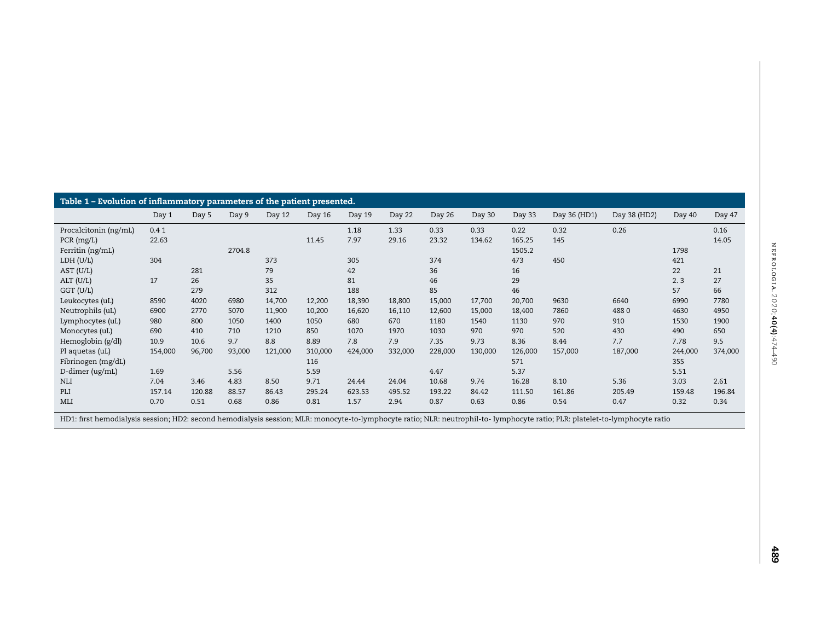<span id="page-1-0"></span>

| Table 1 - Evolution of inflammatory parameters of the patient presented. |         |        |        |         |         |         |         |         |         |         |              |              |         |         |
|--------------------------------------------------------------------------|---------|--------|--------|---------|---------|---------|---------|---------|---------|---------|--------------|--------------|---------|---------|
|                                                                          | Day 1   | Day 5  | Day 9  | Day 12  | Day 16  | Day 19  | Day 22  | Day 26  | Day 30  | Day 33  | Day 36 (HD1) | Day 38 (HD2) | Day 40  | Day 47  |
| Procalcitonin (ng/mL)                                                    | 0.41    |        |        |         |         | 1.18    | 1.33    | 0.33    | 0.33    | 0.22    | 0.32         | 0.26         |         | 0.16    |
| PCR (mg/L)                                                               | 22.63   |        |        |         | 11.45   | 7.97    | 29.16   | 23.32   | 134.62  | 165.25  | 145          |              |         | 14.05   |
| Ferritin (ng/mL)                                                         |         |        | 2704.8 |         |         |         |         |         |         | 1505.2  |              |              | 1798    |         |
| LDH (U/L)                                                                | 304     |        |        | 373     |         | 305     |         | 374     |         | 473     | 450          |              | 421     |         |
| AST (U/L)                                                                |         | 281    |        | 79      |         | 42      |         | 36      |         | 16      |              |              | 22      | 21      |
| ALT (U/L)                                                                | 17      | 26     |        | 35      |         | 81      |         | 46      |         | 29      |              |              | 2.3     | 27      |
| GGT (U/L)                                                                |         | 279    |        | 312     |         | 188     |         | 85      |         | 46      |              |              | 57      | 66      |
| Leukocytes (uL)                                                          | 8590    | 4020   | 6980   | 14,700  | 12,200  | 18,390  | 18,800  | 15,000  | 17,700  | 20,700  | 9630         | 6640         | 6990    | 7780    |
| Neutrophils (uL)                                                         | 6900    | 2770   | 5070   | 11,900  | 10,200  | 16,620  | 16,110  | 12,600  | 15,000  | 18,400  | 7860         | 4880         | 4630    | 4950    |
| Lymphocytes (uL)                                                         | 980     | 800    | 1050   | 1400    | 1050    | 680     | 670     | 1180    | 1540    | 1130    | 970          | 910          | 1530    | 1900    |
| Monocytes (uL)                                                           | 690     | 410    | 710    | 1210    | 850     | 1070    | 1970    | 1030    | 970     | 970     | 520          | 430          | 490     | 650     |
| Hemoglobin (g/dl)                                                        | 10.9    | 10.6   | 9.7    | 8.8     | 8.89    | 7.8     | 7.9     | 7.35    | 9.73    | 8.36    | 8.44         | 7.7          | 7.78    | 9.5     |
| Pl aquetas (uL)                                                          | 154,000 | 96,700 | 93,000 | 121,000 | 310,000 | 424,000 | 332,000 | 228,000 | 130,000 | 126,000 | 157,000      | 187,000      | 244,000 | 374,000 |
| Fibrinogen (mg/dL)                                                       |         |        |        |         | 116     |         |         |         |         | 571     |              |              | 355     |         |
| D-dimer (ug/mL)                                                          | 1.69    |        | 5.56   |         | 5.59    |         |         | 4.47    |         | 5.37    |              |              | 5.51    |         |
| <b>NLI</b>                                                               | 7.04    | 3.46   | 4.83   | 8.50    | 9.71    | 24.44   | 24.04   | 10.68   | 9.74    | 16.28   | 8.10         | 5.36         | 3.03    | 2.61    |
| PLI                                                                      | 157.14  | 120.88 | 88.57  | 86.43   | 295.24  | 623.53  | 495.52  | 193.22  | 84.42   | 111.50  | 161.86       | 205.49       | 159.48  | 196.84  |
| MLI                                                                      | 0.70    | 0.51   | 0.68   | 0.86    | 0.81    | 1.57    | 2.94    | 0.87    | 0.63    | 0.86    | 0.54         | 0.47         | 0.32    | 0.34    |

HD1: first hemodialysis session; HD2: second hemodialysis session; MLR: monocyte-to-lymphocyte ratio; NLR: neutrophil-to- lymphocyte ratio; PLR: platelet-to-lymphocyte ratio